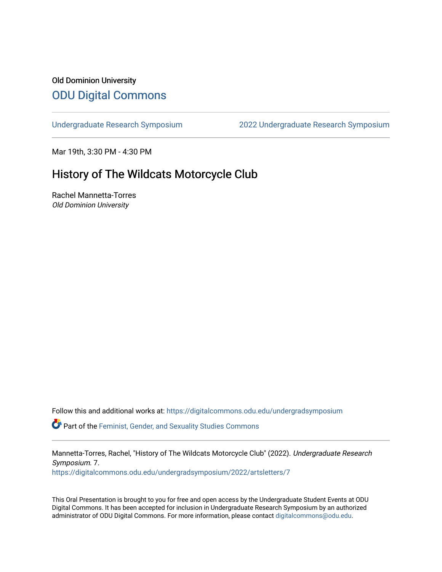## Old Dominion University [ODU Digital Commons](https://digitalcommons.odu.edu/)

[Undergraduate Research Symposium](https://digitalcommons.odu.edu/undergradsymposium) [2022 Undergraduate Research Symposium](https://digitalcommons.odu.edu/undergradsymposium/2022) 

Mar 19th, 3:30 PM - 4:30 PM

## History of The Wildcats Motorcycle Club

Rachel Mannetta-Torres Old Dominion University

Follow this and additional works at: [https://digitalcommons.odu.edu/undergradsymposium](https://digitalcommons.odu.edu/undergradsymposium?utm_source=digitalcommons.odu.edu%2Fundergradsymposium%2F2022%2Fartsletters%2F7&utm_medium=PDF&utm_campaign=PDFCoverPages) 

Part of the [Feminist, Gender, and Sexuality Studies Commons](http://network.bepress.com/hgg/discipline/559?utm_source=digitalcommons.odu.edu%2Fundergradsymposium%2F2022%2Fartsletters%2F7&utm_medium=PDF&utm_campaign=PDFCoverPages)

Mannetta-Torres, Rachel, "History of The Wildcats Motorcycle Club" (2022). Undergraduate Research Symposium. 7. [https://digitalcommons.odu.edu/undergradsymposium/2022/artsletters/7](https://digitalcommons.odu.edu/undergradsymposium/2022/artsletters/7?utm_source=digitalcommons.odu.edu%2Fundergradsymposium%2F2022%2Fartsletters%2F7&utm_medium=PDF&utm_campaign=PDFCoverPages)

This Oral Presentation is brought to you for free and open access by the Undergraduate Student Events at ODU Digital Commons. It has been accepted for inclusion in Undergraduate Research Symposium by an authorized administrator of ODU Digital Commons. For more information, please contact [digitalcommons@odu.edu](mailto:digitalcommons@odu.edu).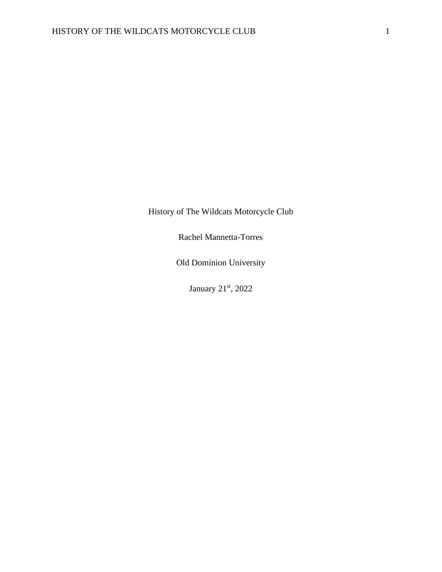History of The Wildcats Motorcycle Club

Rachel Mannetta-Torres

Old Dominion University

January 21st, 2022